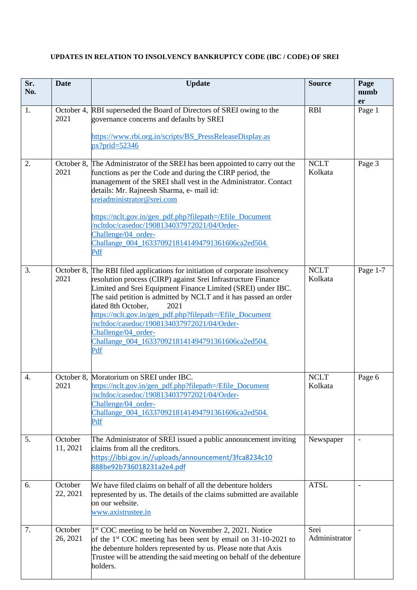| Sr.<br>No.       | <b>Date</b>         | <b>Update</b>                                                                                                                                                                                                                                                                                                                                                                                                                                                                                                | <b>Source</b>          | Page<br>numb<br>er |
|------------------|---------------------|--------------------------------------------------------------------------------------------------------------------------------------------------------------------------------------------------------------------------------------------------------------------------------------------------------------------------------------------------------------------------------------------------------------------------------------------------------------------------------------------------------------|------------------------|--------------------|
| 1.               | 2021                | October 4, RBI superseded the Board of Directors of SREI owing to the<br>governance concerns and defaults by SREI<br>https://www.rbi.org.in/scripts/BS_PressReleaseDisplay.as<br>$px?grid=52346$                                                                                                                                                                                                                                                                                                             | <b>RBI</b>             | Page 1             |
| 2.               | 2021                | October 8, The Administrator of the SREI has been appointed to carry out the<br>functions as per the Code and during the CIRP period, the<br>management of the SREI shall vest in the Administrator. Contact<br>details: Mr. Rajneesh Sharma, e- mail id:<br>sreiadministrator@srei.com<br>https://nclt.gov.in/gen_pdf.php?filepath=/Efile_Document<br>/ncltdoc/casedoc/1908134037972021/04/Order-<br>Challenge/04_order-<br>Challange_004_1633709218141494791361606ca2ed504.<br>Pdf                         | <b>NCLT</b><br>Kolkata | Page 3             |
| 3.               | 2021                | October 8, The RBI filed applications for initiation of corporate insolvency<br>resolution process (CIRP) against Srei Infrastructure Finance<br>Limited and Srei Equipment Finance Limited (SREI) under IBC.<br>The said petition is admitted by NCLT and it has passed an order<br>dated 8th October,<br>2021<br>https://nclt.gov.in/gen_pdf.php?filepath=/Efile_Document<br>/ncltdoc/casedoc/1908134037972021/04/Order-<br>Challenge/04_order-<br>Challange_004_1633709218141494791361606ca2ed504.<br>Pdf | <b>NCLT</b><br>Kolkata | Page 1-7           |
| $\overline{4}$ . | 2021                | October 8, Moratorium on SREI under IBC.<br>https://nclt.gov.in/gen_pdf.php?filepath=/Efile_Document<br>/ncltdoc/casedoc/1908134037972021/04/Order-<br>Challenge/04_order-<br>Challange 004 1633709218141494791361606ca2ed504.<br>Pdf                                                                                                                                                                                                                                                                        | <b>NCLT</b><br>Kolkata | Page 6             |
| 5.               | October<br>11, 2021 | The Administrator of SREI issued a public announcement inviting<br>claims from all the creditors.<br>https://ibbi.gov.in//uploads/announcement/3fca8234c10<br>888be92b736018231a2e4.pdf                                                                                                                                                                                                                                                                                                                      | Newspaper              |                    |
| 6.               | October<br>22, 2021 | We have filed claims on behalf of all the debenture holders<br>represented by us. The details of the claims submitted are available<br>on our website.<br>www.axistrustee.in                                                                                                                                                                                                                                                                                                                                 | <b>ATSL</b>            | $\blacksquare$     |
| 7.               | October<br>26, 2021 | 1 <sup>st</sup> COC meeting to be held on November 2, 2021. Notice<br>of the $1st$ COC meeting has been sent by email on 31-10-2021 to<br>the debenture holders represented by us. Please note that Axis<br>Trustee will be attending the said meeting on behalf of the debenture<br>holders.                                                                                                                                                                                                                | Srei<br>Administrator  |                    |

## **UPDATES IN RELATION TO INSOLVENCY BANKRUPTCY CODE (IBC / CODE) OF SREI**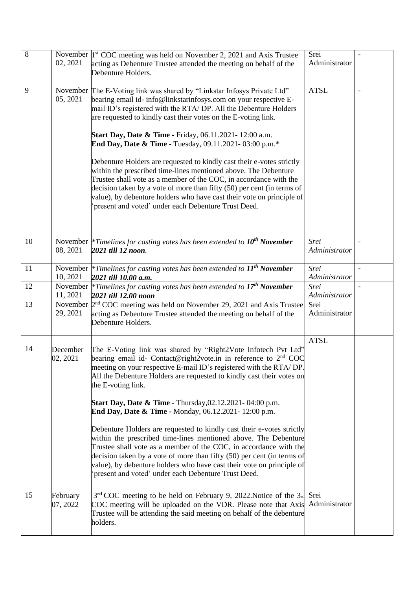| $\overline{8}$ | 02, 2021             | November  1 <sup>st</sup> COC meeting was held on November 2, 2021 and Axis Trustee<br>acting as Debenture Trustee attended the meeting on behalf of the<br>Debenture Holders.                                                                                                                                                                                                                                                                                                                                                                                                                                                                                                                                                                                                                                                                                        | Srei<br>Administrator |                          |
|----------------|----------------------|-----------------------------------------------------------------------------------------------------------------------------------------------------------------------------------------------------------------------------------------------------------------------------------------------------------------------------------------------------------------------------------------------------------------------------------------------------------------------------------------------------------------------------------------------------------------------------------------------------------------------------------------------------------------------------------------------------------------------------------------------------------------------------------------------------------------------------------------------------------------------|-----------------------|--------------------------|
| 9              | 05, 2021             | November The E-Voting link was shared by "Linkstar Infosys Private Ltd"<br>bearing email id- info@linkstarinfosys.com on your respective E-<br>mail ID's registered with the RTA/DP. All the Debenture Holders<br>are requested to kindly cast their votes on the E-voting link.<br><b>Start Day, Date &amp; Time</b> - Friday, 06.11.2021-12:00 a.m.<br>End Day, Date & Time - Tuesday, 09.11.2021-03:00 p.m.*<br>Debenture Holders are requested to kindly cast their e-votes strictly<br>within the prescribed time-lines mentioned above. The Debenture<br>Trustee shall vote as a member of the COC, in accordance with the<br>decision taken by a vote of more than fifty (50) per cent (in terms of<br>value), by debenture holders who have cast their vote on principle of<br>present and voted' under each Debenture Trust Deed.                            | <b>ATSL</b>           |                          |
| 10             | 08, 2021             | November $*$ Timelines for casting votes has been extended to $10^{th}$ November<br>2021 till 12 noon.                                                                                                                                                                                                                                                                                                                                                                                                                                                                                                                                                                                                                                                                                                                                                                | Srei<br>Administrator |                          |
| 11             | November<br>10, 2021 | <i>*Timelines for casting votes has been extended to</i> $11th$ November<br>2021 till 10.00 a.m.                                                                                                                                                                                                                                                                                                                                                                                                                                                                                                                                                                                                                                                                                                                                                                      | Srei<br>Administrator | $\overline{\phantom{a}}$ |
| 12             | 11, 2021             | November $*$ Timelines for casting votes has been extended to $17th$ November<br>2021 till 12.00 noon                                                                                                                                                                                                                                                                                                                                                                                                                                                                                                                                                                                                                                                                                                                                                                 | Srei<br>Administrator |                          |
| 13             | 29, 2021             | November $2nd COC$ meeting was held on November 29, 2021 and Axis Trustee<br>acting as Debenture Trustee attended the meeting on behalf of the<br>Debenture Holders.                                                                                                                                                                                                                                                                                                                                                                                                                                                                                                                                                                                                                                                                                                  | Srei<br>Administrator |                          |
| 14             | December<br>02, 2021 | The E-Voting link was shared by "Right2Vote Infotech Pvt Ltd"<br>bearing email id- Contact@right2vote.in in reference to $2nd$ COC<br>meeting on your respective E-mail ID's registered with the RTA/DP.<br>All the Debenture Holders are requested to kindly cast their votes on<br>the E-voting link.<br><b>Start Day, Date &amp; Time</b> - Thursday, 02.12.2021 - 04:00 p.m.<br>End Day, Date & Time - Monday, 06.12.2021-12:00 p.m.<br>Debenture Holders are requested to kindly cast their e-votes strictly<br>within the prescribed time-lines mentioned above. The Debenture<br>Trustee shall vote as a member of the COC, in accordance with the<br>decision taken by a vote of more than fifty $(50)$ per cent (in terms of<br>value), by debenture holders who have cast their vote on principle of<br>present and voted' under each Debenture Trust Deed. | <b>ATSL</b>           |                          |
| 15             | February<br>07, 2022 | $3rd$ COC meeting to be held on February 9, 2022. Notice of the $3rd$ Srei<br>COC meeting will be uploaded on the VDR. Please note that Axis Administrator<br>Trustee will be attending the said meeting on behalf of the debenture<br>holders.                                                                                                                                                                                                                                                                                                                                                                                                                                                                                                                                                                                                                       |                       |                          |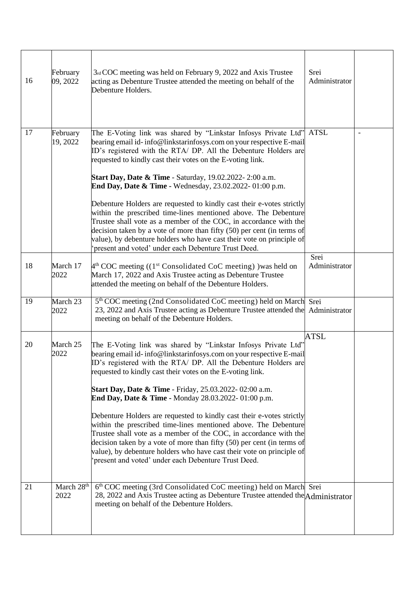| 16 | February<br>09, 2022           | 3rd COC meeting was held on February 9, 2022 and Axis Trustee<br>acting as Debenture Trustee attended the meeting on behalf of the<br>Debenture Holders.                                                                                                                                                                                                                                                                                                                                                                                                                                                                                                                                                                                                                                                                                  | Srei<br>Administrator |  |
|----|--------------------------------|-------------------------------------------------------------------------------------------------------------------------------------------------------------------------------------------------------------------------------------------------------------------------------------------------------------------------------------------------------------------------------------------------------------------------------------------------------------------------------------------------------------------------------------------------------------------------------------------------------------------------------------------------------------------------------------------------------------------------------------------------------------------------------------------------------------------------------------------|-----------------------|--|
| 17 | February<br>19, 2022           | The E-Voting link was shared by "Linkstar Infosys Private Ltd"<br>bearing email id- info@linkstarinfosys.com on your respective E-mail<br>ID's registered with the RTA/ DP. All the Debenture Holders are<br>requested to kindly cast their votes on the E-voting link.<br><b>Start Day, Date &amp; Time - Saturday, 19.02.2022-2:00 a.m.</b><br>End Day, Date & Time - Wednesday, 23.02.2022-01:00 p.m.<br>Debenture Holders are requested to kindly cast their e-votes strictly<br>within the prescribed time-lines mentioned above. The Debenture<br>Trustee shall vote as a member of the COC, in accordance with the<br>decision taken by a vote of more than fifty (50) per cent (in terms of<br>value), by debenture holders who have cast their vote on principle of<br>present and voted' under each Debenture Trust Deed.       | <b>ATSL</b>           |  |
| 18 | March 17<br>2022               | $4th COC$ meeting ((1 <sup>st</sup> Consolidated CoC meeting)) was held on<br>March 17, 2022 and Axis Trustee acting as Debenture Trustee<br>attended the meeting on behalf of the Debenture Holders.                                                                                                                                                                                                                                                                                                                                                                                                                                                                                                                                                                                                                                     | Srei<br>Administrator |  |
| 19 | March 23<br>2022               | 5 <sup>th</sup> COC meeting (2nd Consolidated CoC meeting) held on March Srei<br>23, 2022 and Axis Trustee acting as Debenture Trustee attended the<br>meeting on behalf of the Debenture Holders.                                                                                                                                                                                                                                                                                                                                                                                                                                                                                                                                                                                                                                        | Administrator         |  |
| 20 | March 25<br>2022               | The E-Voting link was shared by "Linkstar Infosys Private Ltd"<br>bearing email id- info@linkstarinfosys.com on your respective E-mail<br>ID's registered with the RTA/ DP. All the Debenture Holders are<br>requested to kindly cast their votes on the E-voting link.<br><b>Start Day, Date &amp; Time</b> - Friday, 25.03.2022-02:00 a.m.<br><b>End Day, Date &amp; Time - Monday 28.03.2022-01:00 p.m.</b><br>Debenture Holders are requested to kindly cast their e-votes strictly<br>within the prescribed time-lines mentioned above. The Debenture<br>Trustee shall vote as a member of the COC, in accordance with the<br>decision taken by a vote of more than fifty (50) per cent (in terms of<br>value), by debenture holders who have cast their vote on principle of<br>present and voted' under each Debenture Trust Deed. | <b>ATSL</b>           |  |
| 21 | March 28 <sup>th</sup><br>2022 | 6th COC meeting (3rd Consolidated CoC meeting) held on March Srei<br>28, 2022 and Axis Trustee acting as Debenture Trustee attended the Administrator<br>meeting on behalf of the Debenture Holders.                                                                                                                                                                                                                                                                                                                                                                                                                                                                                                                                                                                                                                      |                       |  |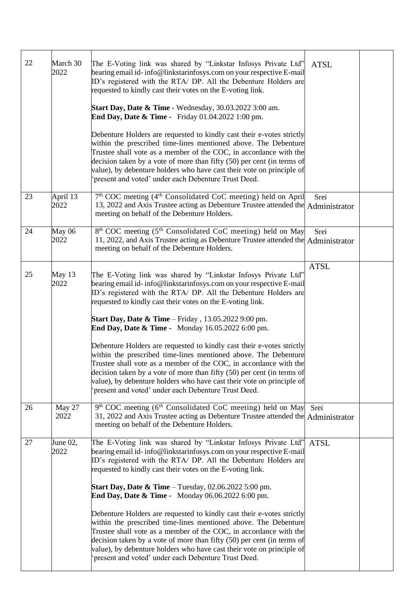| 22 | March 30<br>2022 | The E-Voting link was shared by "Linkstar Infosys Private Ltd"<br>bearing email id-info@linkstarinfosys.com on your respective E-mail<br>ID's registered with the RTA/ DP. All the Debenture Holders are<br>requested to kindly cast their votes on the E-voting link.<br><b>Start Day, Date &amp; Time - Wednesday, 30.03.2022 3:00 am.</b><br>End Day, Date & Time - Friday 01.04.2022 1:00 pm.<br>Debenture Holders are requested to kindly cast their e-votes strictly<br>within the prescribed time-lines mentioned above. The Debenture<br>Trustee shall vote as a member of the COC, in accordance with the<br>decision taken by a vote of more than fifty (50) per cent (in terms of<br>value), by debenture holders who have cast their vote on principle of<br>present and voted' under each Debenture Trust Deed.                   | <b>ATSL</b> |  |
|----|------------------|------------------------------------------------------------------------------------------------------------------------------------------------------------------------------------------------------------------------------------------------------------------------------------------------------------------------------------------------------------------------------------------------------------------------------------------------------------------------------------------------------------------------------------------------------------------------------------------------------------------------------------------------------------------------------------------------------------------------------------------------------------------------------------------------------------------------------------------------|-------------|--|
| 23 | April 13<br>2022 | 7 <sup>th</sup> COC meeting (4 <sup>th</sup> Consolidated CoC meeting) held on April<br>13, 2022 and Axis Trustee acting as Debenture Trustee attended the Administrator<br>meeting on behalf of the Debenture Holders.                                                                                                                                                                                                                                                                                                                                                                                                                                                                                                                                                                                                                        | Srei        |  |
| 24 | May 06<br>2022   | 8 <sup>th</sup> COC meeting (5 <sup>th</sup> Consolidated CoC meeting) held on May<br>11, 2022, and Axis Trustee acting as Debenture Trustee attended the Administrator<br>meeting on behalf of the Debenture Holders.                                                                                                                                                                                                                                                                                                                                                                                                                                                                                                                                                                                                                         | Srei        |  |
| 25 | May 13<br>2022   | The E-Voting link was shared by "Linkstar Infosys Private Ltd"<br>bearing email id-info@linkstarinfosys.com on your respective E-mail<br>ID's registered with the RTA/ DP. All the Debenture Holders are<br>requested to kindly cast their votes on the E-voting link.<br><b>Start Day, Date &amp; Time</b> – Friday, $13.05.20229:00 \text{ pm}$ .<br><b>End Day, Date &amp; Time -</b> Monday 16.05.2022 6:00 pm.<br>Debenture Holders are requested to kindly cast their e-votes strictly<br>within the prescribed time-lines mentioned above. The Debenture<br>Trustee shall vote as a member of the COC, in accordance with the<br>decision taken by a vote of more than fifty (50) per cent (in terms of<br>value), by debenture holders who have cast their vote on principle of<br>present and voted' under each Debenture Trust Deed. | <b>ATSL</b> |  |
| 26 | May 27<br>2022   | 9 <sup>th</sup> COC meeting (6 <sup>th</sup> Consolidated CoC meeting) held on May<br>31, 2022 and Axis Trustee acting as Debenture Trustee attended the Administrator<br>meeting on behalf of the Debenture Holders.                                                                                                                                                                                                                                                                                                                                                                                                                                                                                                                                                                                                                          | Srei        |  |
| 27 | June 02,<br>2022 | The E-Voting link was shared by "Linkstar Infosys Private Ltd"<br>bearing email id-info@linkstarinfosys.com on your respective E-mail<br>ID's registered with the RTA/ DP. All the Debenture Holders are<br>requested to kindly cast their votes on the E-voting link.<br><b>Start Day, Date &amp; Time</b> – Tuesday, $02.06.2022$ 5:00 pm.<br><b>End Day, Date &amp; Time -</b> Monday 06.06.2022 6:00 pm.<br>Debenture Holders are requested to kindly cast their e-votes strictly<br>within the prescribed time-lines mentioned above. The Debenture<br>Trustee shall vote as a member of the COC, in accordance with the<br>decision taken by a vote of more than fifty (50) per cent (in terms of<br>value), by debenture holders who have cast their vote on principle of<br>present and voted' under each Debenture Trust Deed.        | <b>ATSL</b> |  |